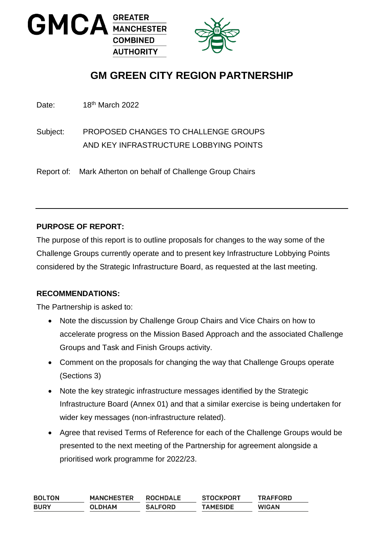



# **GM GREEN CITY REGION PARTNERSHIP**

Date: 18<sup>th</sup> March 2022

Subject: PROPOSED CHANGES TO CHALLENGE GROUPS AND KEY INFRASTRUCTURE LOBBYING POINTS

Report of: Mark Atherton on behalf of Challenge Group Chairs

## **PURPOSE OF REPORT:**

The purpose of this report is to outline proposals for changes to the way some of the Challenge Groups currently operate and to present key Infrastructure Lobbying Points considered by the Strategic Infrastructure Board, as requested at the last meeting.

#### **RECOMMENDATIONS:**

The Partnership is asked to:

- Note the discussion by Challenge Group Chairs and Vice Chairs on how to accelerate progress on the Mission Based Approach and the associated Challenge Groups and Task and Finish Groups activity.
- Comment on the proposals for changing the way that Challenge Groups operate (Sections 3)
- Note the key strategic infrastructure messages identified by the Strategic Infrastructure Board (Annex 01) and that a similar exercise is being undertaken for wider key messages (non-infrastructure related).
- Agree that revised Terms of Reference for each of the Challenge Groups would be presented to the next meeting of the Partnership for agreement alongside a prioritised work programme for 2022/23.

| <b>BOLTON</b> | <b>MANCHESTER</b> | <b>ROCHDALE</b> | <b>STOCKPORT</b> | <b>TRAFFORD</b> |
|---------------|-------------------|-----------------|------------------|-----------------|
| <b>BURY</b>   | <b>OLDHAM</b>     | <b>SALFORD</b>  | <b>TAMESIDE</b>  | <b>WIGAN</b>    |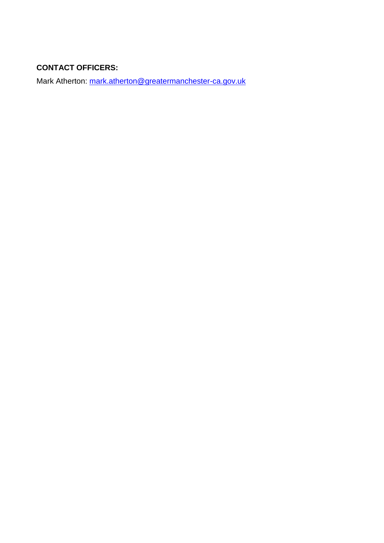## **CONTACT OFFICERS:**

Mark Atherton: [mark.atherton@greatermanchester-ca.gov.uk](mailto:mark.atherton@greatermanchester-ca.gov.uk)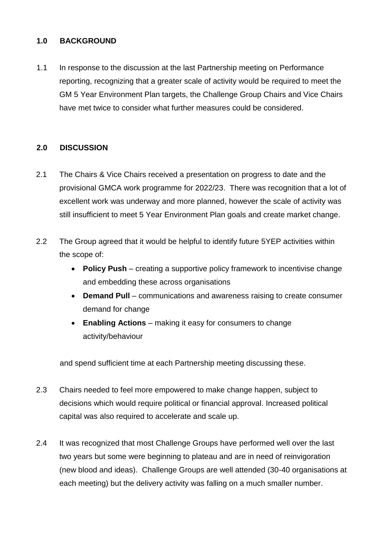#### **1.0 BACKGROUND**

1.1 In response to the discussion at the last Partnership meeting on Performance reporting, recognizing that a greater scale of activity would be required to meet the GM 5 Year Environment Plan targets, the Challenge Group Chairs and Vice Chairs have met twice to consider what further measures could be considered.

## **2.0 DISCUSSION**

- 2.1 The Chairs & Vice Chairs received a presentation on progress to date and the provisional GMCA work programme for 2022/23. There was recognition that a lot of excellent work was underway and more planned, however the scale of activity was still insufficient to meet 5 Year Environment Plan goals and create market change.
- 2.2 The Group agreed that it would be helpful to identify future 5YEP activities within the scope of:
	- **Policy Push** creating a supportive policy framework to incentivise change and embedding these across organisations
	- **Demand Pull** communications and awareness raising to create consumer demand for change
	- **Enabling Actions** making it easy for consumers to change activity/behaviour

and spend sufficient time at each Partnership meeting discussing these.

- 2.3 Chairs needed to feel more empowered to make change happen, subject to decisions which would require political or financial approval. Increased political capital was also required to accelerate and scale up.
- 2.4 It was recognized that most Challenge Groups have performed well over the last two years but some were beginning to plateau and are in need of reinvigoration (new blood and ideas). Challenge Groups are well attended (30-40 organisations at each meeting) but the delivery activity was falling on a much smaller number.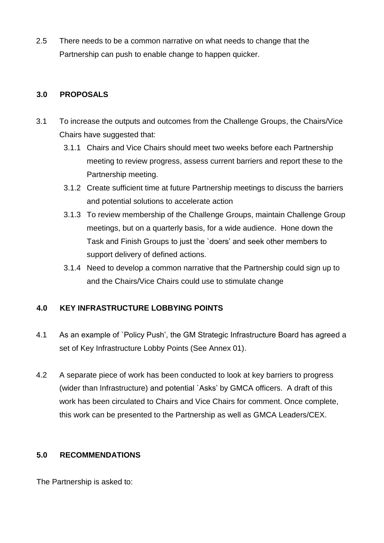2.5 There needs to be a common narrative on what needs to change that the Partnership can push to enable change to happen quicker.

## **3.0 PROPOSALS**

- 3.1 To increase the outputs and outcomes from the Challenge Groups, the Chairs/Vice Chairs have suggested that:
	- 3.1.1 Chairs and Vice Chairs should meet two weeks before each Partnership meeting to review progress, assess current barriers and report these to the Partnership meeting.
	- 3.1.2 Create sufficient time at future Partnership meetings to discuss the barriers and potential solutions to accelerate action
	- 3.1.3 To review membership of the Challenge Groups, maintain Challenge Group meetings, but on a quarterly basis, for a wide audience. Hone down the Task and Finish Groups to just the `doers' and seek other members to support delivery of defined actions.
	- 3.1.4 Need to develop a common narrative that the Partnership could sign up to and the Chairs/Vice Chairs could use to stimulate change

## **4.0 KEY INFRASTRUCTURE LOBBYING POINTS**

- 4.1 As an example of `Policy Push', the GM Strategic Infrastructure Board has agreed a set of Key Infrastructure Lobby Points (See Annex 01).
- 4.2 A separate piece of work has been conducted to look at key barriers to progress (wider than Infrastructure) and potential `Asks' by GMCA officers. A draft of this work has been circulated to Chairs and Vice Chairs for comment. Once complete, this work can be presented to the Partnership as well as GMCA Leaders/CEX.

## **5.0 RECOMMENDATIONS**

The Partnership is asked to: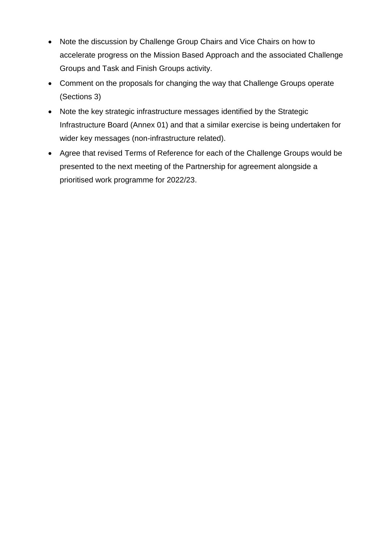- Note the discussion by Challenge Group Chairs and Vice Chairs on how to accelerate progress on the Mission Based Approach and the associated Challenge Groups and Task and Finish Groups activity.
- Comment on the proposals for changing the way that Challenge Groups operate (Sections 3)
- Note the key strategic infrastructure messages identified by the Strategic Infrastructure Board (Annex 01) and that a similar exercise is being undertaken for wider key messages (non-infrastructure related).
- Agree that revised Terms of Reference for each of the Challenge Groups would be presented to the next meeting of the Partnership for agreement alongside a prioritised work programme for 2022/23.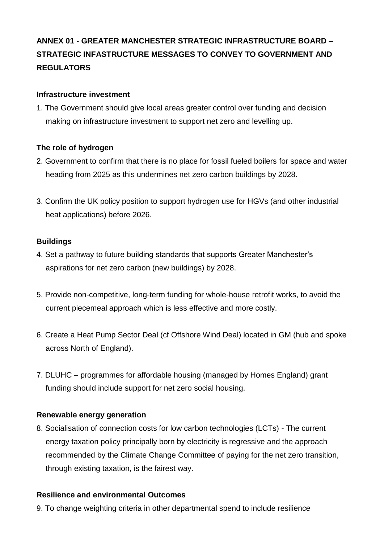## **ANNEX 01 - GREATER MANCHESTER STRATEGIC INFRASTRUCTURE BOARD – STRATEGIC INFASTRUCTURE MESSAGES TO CONVEY TO GOVERNMENT AND REGULATORS**

#### **Infrastructure investment**

1. The Government should give local areas greater control over funding and decision making on infrastructure investment to support net zero and levelling up.

#### **The role of hydrogen**

- 2. Government to confirm that there is no place for fossil fueled boilers for space and water heading from 2025 as this undermines net zero carbon buildings by 2028.
- 3. Confirm the UK policy position to support hydrogen use for HGVs (and other industrial heat applications) before 2026.

#### **Buildings**

- 4. Set a pathway to future building standards that supports Greater Manchester's aspirations for net zero carbon (new buildings) by 2028.
- 5. Provide non-competitive, long-term funding for whole-house retrofit works, to avoid the current piecemeal approach which is less effective and more costly.
- 6. Create a Heat Pump Sector Deal (cf Offshore Wind Deal) located in GM (hub and spoke across North of England).
- 7. DLUHC programmes for affordable housing (managed by Homes England) grant funding should include support for net zero social housing.

#### **Renewable energy generation**

8. Socialisation of connection costs for low carbon technologies (LCTs) - The current energy taxation policy principally born by electricity is regressive and the approach recommended by the Climate Change Committee of paying for the net zero transition, through existing taxation, is the fairest way.

#### **Resilience and environmental Outcomes**

9. To change weighting criteria in other departmental spend to include resilience